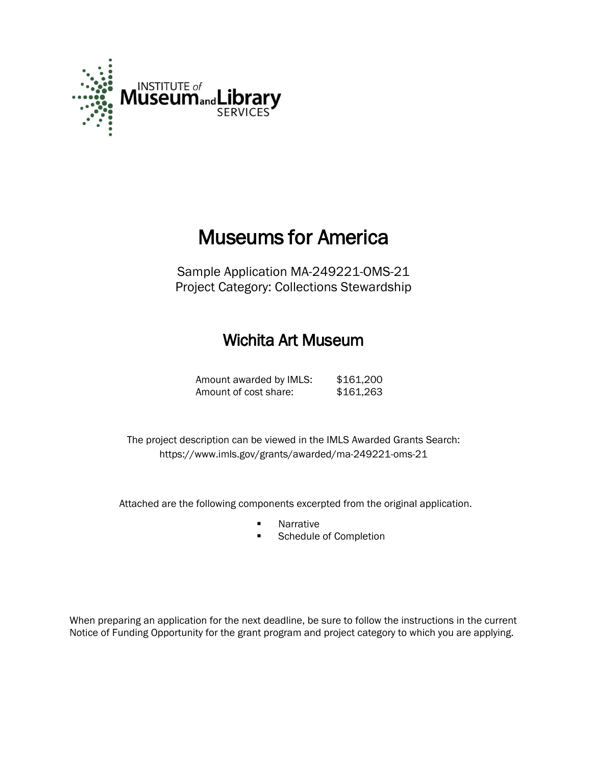

## Museums for America

Sample Application MA-249221-OMS-21 Project Category: Collections Stewardship

### Wichita Art Museum

Amount awarded by IMLS: \$161,200 Amount of cost share: \$161,263

 The project description can be viewed in the IMLS Awarded Grants Search: <https://www.imls.gov/grants/awarded/ma-249221-oms-21>

Attached are the following components excerpted from the original application.

- **Narrative**
- Schedule of Completion

When preparing an application for the next deadline, be sure to follow the instructions in the current Notice of Funding Opportunity for the grant program and project category to which you are applying.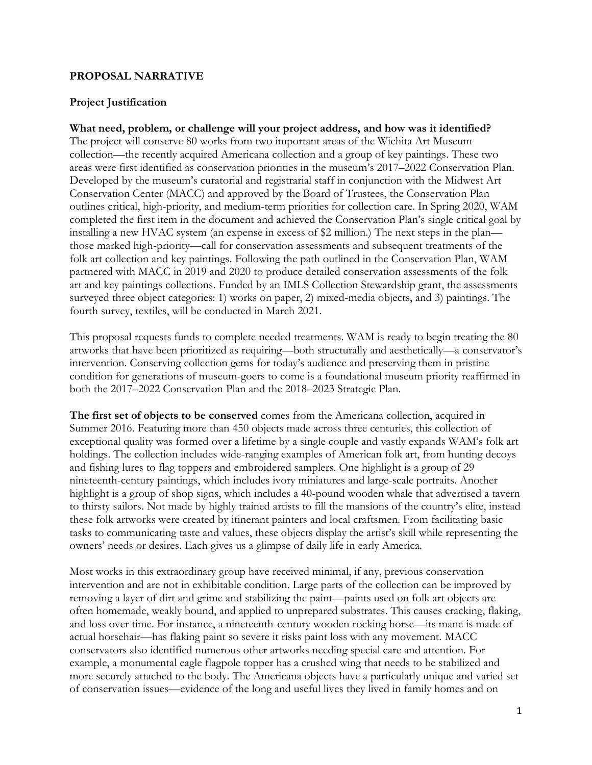#### **PROPOSAL NARRATIVE**

#### **Project Justification**

#### **What need, problem, or challenge will your project address, and how was it identified?**

The project will conserve 80 works from two important areas of the Wichita Art Museum collection—the recently acquired Americana collection and a group of key paintings. These two areas were first identified as conservation priorities in the museum's 2017–2022 Conservation Plan. Developed by the museum's curatorial and registrarial staff in conjunction with the Midwest Art Conservation Center (MACC) and approved by the Board of Trustees, the Conservation Plan outlines critical, high-priority, and medium-term priorities for collection care. In Spring 2020, WAM completed the first item in the document and achieved the Conservation Plan's single critical goal by installing a new HVAC system (an expense in excess of \$2 million.) The next steps in the plan those marked high-priority—call for conservation assessments and subsequent treatments of the folk art collection and key paintings. Following the path outlined in the Conservation Plan, WAM partnered with MACC in 2019 and 2020 to produce detailed conservation assessments of the folk art and key paintings collections. Funded by an IMLS Collection Stewardship grant, the assessments surveyed three object categories: 1) works on paper, 2) mixed-media objects, and 3) paintings. The fourth survey, textiles, will be conducted in March 2021.

This proposal requests funds to complete needed treatments. WAM is ready to begin treating the 80 artworks that have been prioritized as requiring—both structurally and aesthetically—a conservator's intervention. Conserving collection gems for today's audience and preserving them in pristine condition for generations of museum-goers to come is a foundational museum priority reaffirmed in both the 2017–2022 Conservation Plan and the 2018–2023 Strategic Plan.

**The first set of objects to be conserved** comes from the Americana collection, acquired in Summer 2016. Featuring more than 450 objects made across three centuries, this collection of exceptional quality was formed over a lifetime by a single couple and vastly expands WAM's folk art holdings. The collection includes wide-ranging examples of American folk art, from hunting decoys and fishing lures to flag toppers and embroidered samplers. One highlight is a group of 29 nineteenth-century paintings, which includes ivory miniatures and large-scale portraits. Another highlight is a group of shop signs, which includes a 40-pound wooden whale that advertised a tavern to thirsty sailors. Not made by highly trained artists to fill the mansions of the country's elite, instead these folk artworks were created by itinerant painters and local craftsmen. From facilitating basic tasks to communicating taste and values, these objects display the artist's skill while representing the owners' needs or desires. Each gives us a glimpse of daily life in early America.

Most works in this extraordinary group have received minimal, if any, previous conservation intervention and are not in exhibitable condition. Large parts of the collection can be improved by removing a layer of dirt and grime and stabilizing the paint—paints used on folk art objects are often homemade, weakly bound, and applied to unprepared substrates. This causes cracking, flaking, and loss over time. For instance, a nineteenth-century wooden rocking horse—its mane is made of actual horsehair—has flaking paint so severe it risks paint loss with any movement. MACC conservators also identified numerous other artworks needing special care and attention. For example, a monumental eagle flagpole topper has a crushed wing that needs to be stabilized and more securely attached to the body. The Americana objects have a particularly unique and varied set of conservation issues—evidence of the long and useful lives they lived in family homes and on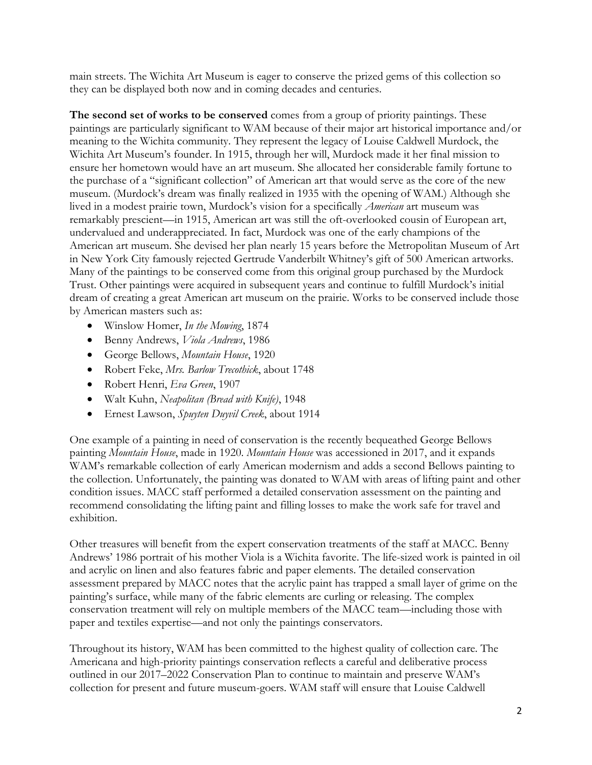main streets. The Wichita Art Museum is eager to conserve the prized gems of this collection so they can be displayed both now and in coming decades and centuries.

**The second set of works to be conserved** comes from a group of priority paintings. These paintings are particularly significant to WAM because of their major art historical importance and/or meaning to the Wichita community. They represent the legacy of Louise Caldwell Murdock, the Wichita Art Museum's founder. In 1915, through her will, Murdock made it her final mission to ensure her hometown would have an art museum. She allocated her considerable family fortune to the purchase of a "significant collection" of American art that would serve as the core of the new museum. (Murdock's dream was finally realized in 1935 with the opening of WAM.) Although she lived in a modest prairie town, Murdock's vision for a specifically *American* art museum was remarkably prescient—in 1915, American art was still the oft-overlooked cousin of European art, undervalued and underappreciated. In fact, Murdock was one of the early champions of the American art museum. She devised her plan nearly 15 years before the Metropolitan Museum of Art in New York City famously rejected Gertrude Vanderbilt Whitney's gift of 500 American artworks. Many of the paintings to be conserved come from this original group purchased by the Murdock Trust. Other paintings were acquired in subsequent years and continue to fulfill Murdock's initial dream of creating a great American art museum on the prairie. Works to be conserved include those by American masters such as:

- Winslow Homer, *In the Mowing*, 1874
- Benny Andrews, *Viola Andrews*, 1986
- George Bellows, *Mountain House*, 1920
- Robert Feke, *Mrs. Barlow Trecothick*, about 1748
- Robert Henri, *Eva Green*, 1907
- Walt Kuhn, *Neapolitan (Bread with Knife)*, 1948
- Ernest Lawson, *Spuyten Duyvil Creek*, about 1914

One example of a painting in need of conservation is the recently bequeathed George Bellows painting *Mountain House*, made in 1920. *Mountain House* was accessioned in 2017, and it expands WAM's remarkable collection of early American modernism and adds a second Bellows painting to the collection. Unfortunately, the painting was donated to WAM with areas of lifting paint and other condition issues. MACC staff performed a detailed conservation assessment on the painting and recommend consolidating the lifting paint and filling losses to make the work safe for travel and exhibition.

Other treasures will benefit from the expert conservation treatments of the staff at MACC. Benny Andrews' 1986 portrait of his mother Viola is a Wichita favorite. The life-sized work is painted in oil and acrylic on linen and also features fabric and paper elements. The detailed conservation assessment prepared by MACC notes that the acrylic paint has trapped a small layer of grime on the painting's surface, while many of the fabric elements are curling or releasing. The complex conservation treatment will rely on multiple members of the MACC team—including those with paper and textiles expertise—and not only the paintings conservators.

Throughout its history, WAM has been committed to the highest quality of collection care. The Americana and high-priority paintings conservation reflects a careful and deliberative process outlined in our 2017–2022 Conservation Plan to continue to maintain and preserve WAM's collection for present and future museum-goers. WAM staff will ensure that Louise Caldwell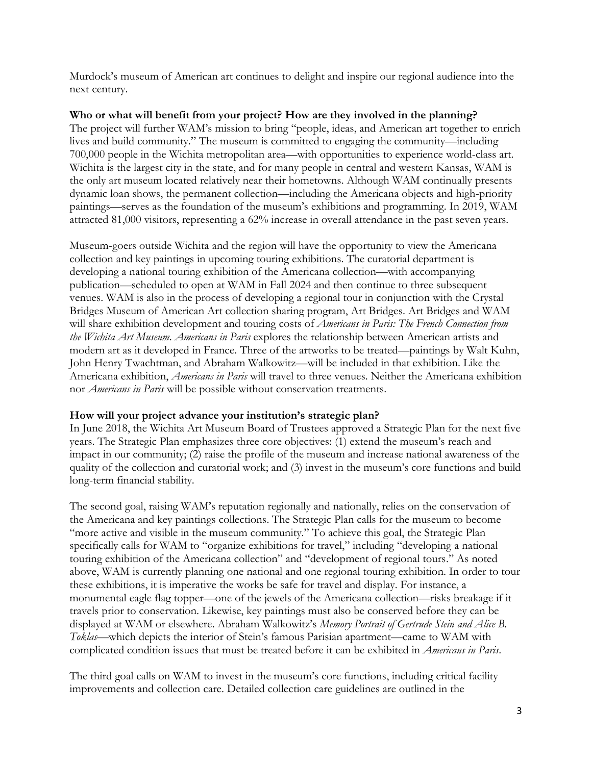Murdock's museum of American art continues to delight and inspire our regional audience into the next century.

#### **Who or what will benefit from your project? How are they involved in the planning?**

The project will further WAM's mission to bring "people, ideas, and American art together to enrich lives and build community." The museum is committed to engaging the community—including 700,000 people in the Wichita metropolitan area—with opportunities to experience world-class art. Wichita is the largest city in the state, and for many people in central and western Kansas, WAM is the only art museum located relatively near their hometowns. Although WAM continually presents dynamic loan shows, the permanent collection—including the Americana objects and high-priority paintings—serves as the foundation of the museum's exhibitions and programming. In 2019, WAM attracted 81,000 visitors, representing a 62% increase in overall attendance in the past seven years.

Museum-goers outside Wichita and the region will have the opportunity to view the Americana collection and key paintings in upcoming touring exhibitions. The curatorial department is developing a national touring exhibition of the Americana collection—with accompanying publication—scheduled to open at WAM in Fall 2024 and then continue to three subsequent venues. WAM is also in the process of developing a regional tour in conjunction with the Crystal Bridges Museum of American Art collection sharing program, Art Bridges. Art Bridges and WAM will share exhibition development and touring costs of *Americans in Paris: The French Connection from the Wichita Art Museum*. *Americans in Paris* explores the relationship between American artists and modern art as it developed in France. Three of the artworks to be treated—paintings by Walt Kuhn, John Henry Twachtman, and Abraham Walkowitz—will be included in that exhibition. Like the Americana exhibition, *Americans in Paris* will travel to three venues. Neither the Americana exhibition nor *Americans in Paris* will be possible without conservation treatments.

#### **How will your project advance your institution's strategic plan?**

In June 2018, the Wichita Art Museum Board of Trustees approved a Strategic Plan for the next five years. The Strategic Plan emphasizes three core objectives: (1) extend the museum's reach and impact in our community; (2) raise the profile of the museum and increase national awareness of the quality of the collection and curatorial work; and (3) invest in the museum's core functions and build long-term financial stability.

The second goal, raising WAM's reputation regionally and nationally, relies on the conservation of the Americana and key paintings collections. The Strategic Plan calls for the museum to become "more active and visible in the museum community." To achieve this goal, the Strategic Plan specifically calls for WAM to "organize exhibitions for travel," including "developing a national touring exhibition of the Americana collection" and "development of regional tours." As noted above, WAM is currently planning one national and one regional touring exhibition. In order to tour these exhibitions, it is imperative the works be safe for travel and display. For instance, a monumental eagle flag topper—one of the jewels of the Americana collection—risks breakage if it travels prior to conservation. Likewise, key paintings must also be conserved before they can be displayed at WAM or elsewhere. Abraham Walkowitz's *Memory Portrait of Gertrude Stein and Alice B. Toklas*—which depicts the interior of Stein's famous Parisian apartment—came to WAM with complicated condition issues that must be treated before it can be exhibited in *Americans in Paris*.

The third goal calls on WAM to invest in the museum's core functions, including critical facility improvements and collection care. Detailed collection care guidelines are outlined in the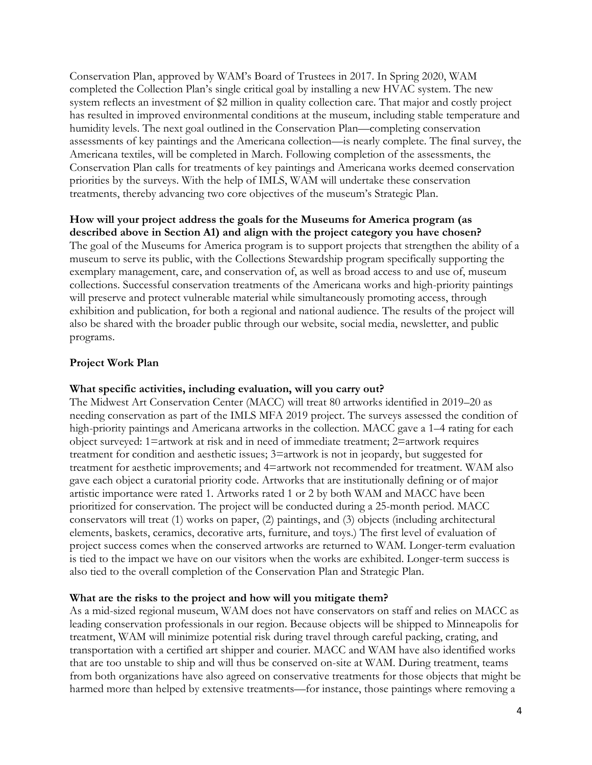Conservation Plan, approved by WAM's Board of Trustees in 2017. In Spring 2020, WAM completed the Collection Plan's single critical goal by installing a new HVAC system. The new system reflects an investment of \$2 million in quality collection care. That major and costly project has resulted in improved environmental conditions at the museum, including stable temperature and humidity levels. The next goal outlined in the Conservation Plan—completing conservation assessments of key paintings and the Americana collection—is nearly complete. The final survey, the Americana textiles, will be completed in March. Following completion of the assessments, the Conservation Plan calls for treatments of key paintings and Americana works deemed conservation priorities by the surveys. With the help of IMLS, WAM will undertake these conservation treatments, thereby advancing two core objectives of the museum's Strategic Plan.

#### **How will your project address the goals for the Museums for America program (as described above in Section A1) and align with the project category you have chosen?**

The goal of the Museums for America program is to support projects that strengthen the ability of a museum to serve its public, with the Collections Stewardship program specifically supporting the exemplary management, care, and conservation of, as well as broad access to and use of, museum collections. Successful conservation treatments of the Americana works and high-priority paintings will preserve and protect vulnerable material while simultaneously promoting access, through exhibition and publication, for both a regional and national audience. The results of the project will also be shared with the broader public through our website, social media, newsletter, and public programs.

#### **Project Work Plan**

#### **What specific activities, including evaluation, will you carry out?**

The Midwest Art Conservation Center (MACC) will treat 80 artworks identified in 2019–20 as needing conservation as part of the IMLS MFA 2019 project. The surveys assessed the condition of high-priority paintings and Americana artworks in the collection. MACC gave a 1–4 rating for each object surveyed: 1=artwork at risk and in need of immediate treatment; 2=artwork requires treatment for condition and aesthetic issues; 3=artwork is not in jeopardy, but suggested for treatment for aesthetic improvements; and 4=artwork not recommended for treatment. WAM also gave each object a curatorial priority code. Artworks that are institutionally defining or of major artistic importance were rated 1. Artworks rated 1 or 2 by both WAM and MACC have been prioritized for conservation. The project will be conducted during a 25-month period. MACC conservators will treat (1) works on paper, (2) paintings, and (3) objects (including architectural elements, baskets, ceramics, decorative arts, furniture, and toys.) The first level of evaluation of project success comes when the conserved artworks are returned to WAM. Longer-term evaluation is tied to the impact we have on our visitors when the works are exhibited. Longer-term success is also tied to the overall completion of the Conservation Plan and Strategic Plan.

#### **What are the risks to the project and how will you mitigate them?**

As a mid-sized regional museum, WAM does not have conservators on staff and relies on MACC as leading conservation professionals in our region. Because objects will be shipped to Minneapolis for treatment, WAM will minimize potential risk during travel through careful packing, crating, and transportation with a certified art shipper and courier. MACC and WAM have also identified works that are too unstable to ship and will thus be conserved on-site at WAM. During treatment, teams from both organizations have also agreed on conservative treatments for those objects that might be harmed more than helped by extensive treatments—for instance, those paintings where removing a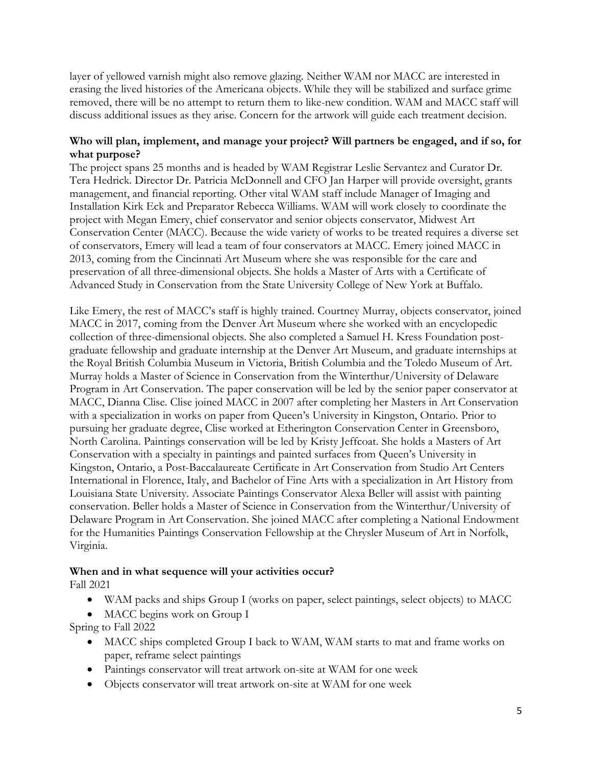layer of yellowed varnish might also remove glazing. Neither WAM nor MACC are interested in erasing the lived histories of the Americana objects. While they will be stabilized and surface grime removed, there will be no attempt to return them to like-new condition. WAM and MACC staff will discuss additional issues as they arise. Concern for the artwork will guide each treatment decision.

#### **Who will plan, implement, and manage your project? Will partners be engaged, and if so, for what purpose?**

The project spans 25 months and is headed by WAM Registrar Leslie Servantez and Curator Dr. Tera Hedrick. Director Dr. Patricia McDonnell and CFO Jan Harper will provide oversight, grants management, and financial reporting. Other vital WAM staff include Manager of Imaging and Installation Kirk Eck and Preparator Rebecca Williams. WAM will work closely to coordinate the project with Megan Emery, chief conservator and senior objects conservator, Midwest Art Conservation Center (MACC). Because the wide variety of works to be treated requires a diverse set of conservators, Emery will lead a team of four conservators at MACC. Emery joined MACC in 2013, coming from the Cincinnati Art Museum where she was responsible for the care and preservation of all three-dimensional objects. She holds a Master of Arts with a Certificate of Advanced Study in Conservation from the State University College of New York at Buffalo.

Like Emery, the rest of MACC's staff is highly trained. Courtney Murray, objects conservator, joined MACC in 2017, coming from the Denver Art Museum where she worked with an encyclopedic collection of three-dimensional objects. She also completed a Samuel H. Kress Foundation postgraduate fellowship and graduate internship at the Denver Art Museum, and graduate internships at the Royal British Columbia Museum in Victoria, British Columbia and the Toledo Museum of Art. Murray holds a Master of Science in Conservation from the Winterthur/University of Delaware Program in Art Conservation. The paper conservation will be led by the senior paper conservator at MACC, Dianna Clise. Clise joined MACC in 2007 after completing her Masters in Art Conservation with a specialization in works on paper from Queen's University in Kingston, Ontario. Prior to pursuing her graduate degree, Clise worked at Etherington Conservation Center in Greensboro, North Carolina. Paintings conservation will be led by Kristy Jeffcoat. She holds a Masters of Art Conservation with a specialty in paintings and painted surfaces from Queen's University in Kingston, Ontario, a Post-Baccalaureate Certificate in Art Conservation from Studio Art Centers International in Florence, Italy, and Bachelor of Fine Arts with a specialization in Art History from Louisiana State University. Associate Paintings Conservator Alexa Beller will assist with painting conservation. Beller holds a Master of Science in Conservation from the Winterthur/University of Delaware Program in Art Conservation. She joined MACC after completing a National Endowment for the Humanities Paintings Conservation Fellowship at the Chrysler Museum of Art in Norfolk, Virginia.

#### **When and in what sequence will your activities occur?**

Fall 2021

- WAM packs and ships Group I (works on paper, select paintings, select objects) to MACC
- MACC begins work on Group I

Spring to Fall 2022

- MACC ships completed Group I back to WAM, WAM starts to mat and frame works on paper, reframe select paintings
- Paintings conservator will treat artwork on-site at WAM for one week
- Objects conservator will treat artwork on-site at WAM for one week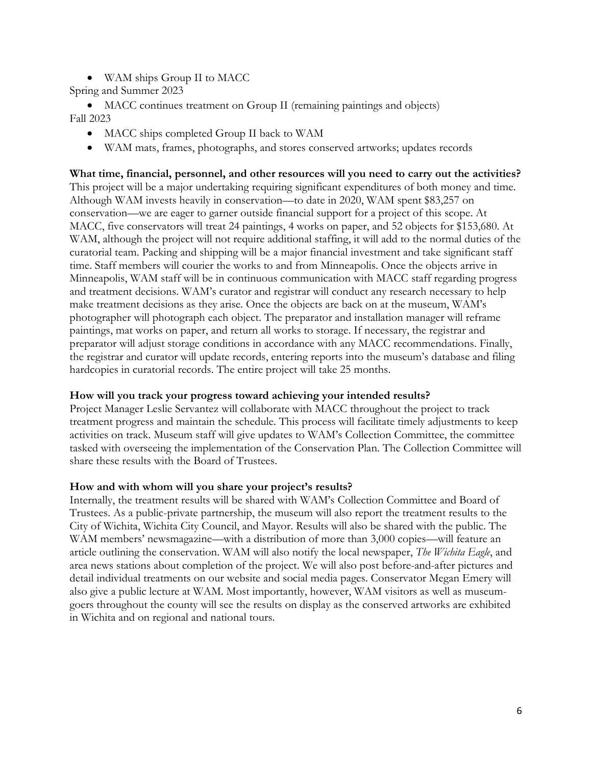- WAM ships Group II to MACC
- Spring and Summer 2023

• MACC continues treatment on Group II (remaining paintings and objects) Fall 2023

- MACC ships completed Group II back to WAM
- WAM mats, frames, photographs, and stores conserved artworks; updates records

**What time, financial, personnel, and other resources will you need to carry out the activities?** This project will be a major undertaking requiring significant expenditures of both money and time. Although WAM invests heavily in conservation—to date in 2020, WAM spent \$83,257 on conservation—we are eager to garner outside financial support for a project of this scope. At MACC, five conservators will treat 24 paintings, 4 works on paper, and 52 objects for \$153,680. At WAM, although the project will not require additional staffing, it will add to the normal duties of the curatorial team. Packing and shipping will be a major financial investment and take significant staff time. Staff members will courier the works to and from Minneapolis. Once the objects arrive in Minneapolis, WAM staff will be in continuous communication with MACC staff regarding progress and treatment decisions. WAM's curator and registrar will conduct any research necessary to help make treatment decisions as they arise. Once the objects are back on at the museum, WAM's photographer will photograph each object. The preparator and installation manager will reframe paintings, mat works on paper, and return all works to storage. If necessary, the registrar and preparator will adjust storage conditions in accordance with any MACC recommendations. Finally, the registrar and curator will update records, entering reports into the museum's database and filing hardcopies in curatorial records. The entire project will take 25 months.

#### **How will you track your progress toward achieving your intended results?**

Project Manager Leslie Servantez will collaborate with MACC throughout the project to track treatment progress and maintain the schedule. This process will facilitate timely adjustments to keep activities on track. Museum staff will give updates to WAM's Collection Committee, the committee tasked with overseeing the implementation of the Conservation Plan. The Collection Committee will share these results with the Board of Trustees.

#### **How and with whom will you share your project's results?**

Internally, the treatment results will be shared with WAM's Collection Committee and Board of Trustees. As a public-private partnership, the museum will also report the treatment results to the City of Wichita, Wichita City Council, and Mayor. Results will also be shared with the public. The WAM members' newsmagazine—with a distribution of more than 3,000 copies—will feature an article outlining the conservation. WAM will also notify the local newspaper, *The Wichita Eagle*, and area news stations about completion of the project. We will also post before-and-after pictures and detail individual treatments on our website and social media pages. Conservator Megan Emery will also give a public lecture at WAM. Most importantly, however, WAM visitors as well as museumgoers throughout the county will see the results on display as the conserved artworks are exhibited in Wichita and on regional and national tours.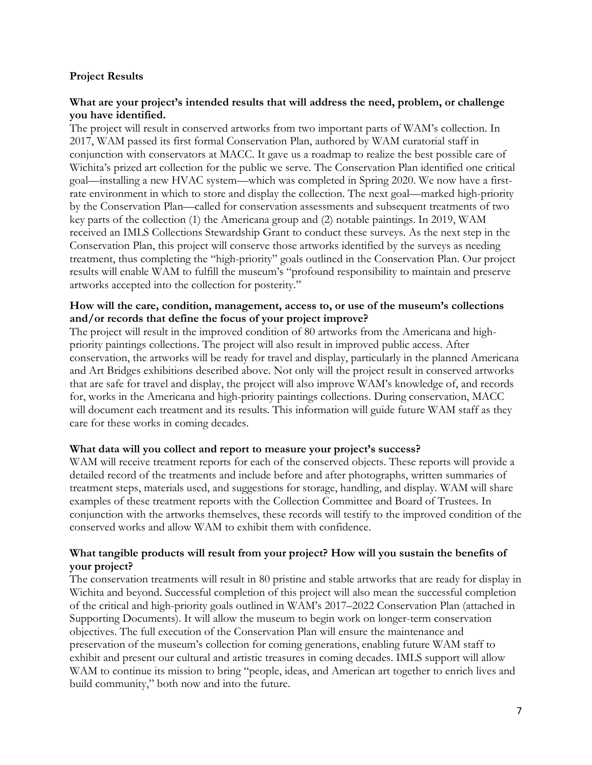#### **Project Results**

#### **What are your project's intended results that will address the need, problem, or challenge you have identified.**

The project will result in conserved artworks from two important parts of WAM's collection. In 2017, WAM passed its first formal Conservation Plan, authored by WAM curatorial staff in conjunction with conservators at MACC. It gave us a roadmap to realize the best possible care of Wichita's prized art collection for the public we serve. The Conservation Plan identified one critical goal—installing a new HVAC system—which was completed in Spring 2020. We now have a firstrate environment in which to store and display the collection. The next goal—marked high-priority by the Conservation Plan—called for conservation assessments and subsequent treatments of two key parts of the collection (1) the Americana group and (2) notable paintings. In 2019, WAM received an IMLS Collections Stewardship Grant to conduct these surveys. As the next step in the Conservation Plan, this project will conserve those artworks identified by the surveys as needing treatment, thus completing the "high-priority" goals outlined in the Conservation Plan. Our project results will enable WAM to fulfill the museum's "profound responsibility to maintain and preserve artworks accepted into the collection for posterity."

#### **How will the care, condition, management, access to, or use of the museum's collections and/or records that define the focus of your project improve?**

The project will result in the improved condition of 80 artworks from the Americana and highpriority paintings collections. The project will also result in improved public access. After conservation, the artworks will be ready for travel and display, particularly in the planned Americana and Art Bridges exhibitions described above. Not only will the project result in conserved artworks that are safe for travel and display, the project will also improve WAM's knowledge of, and records for, works in the Americana and high-priority paintings collections. During conservation, MACC will document each treatment and its results. This information will guide future WAM staff as they care for these works in coming decades.

#### **What data will you collect and report to measure your project's success?**

WAM will receive treatment reports for each of the conserved objects. These reports will provide a detailed record of the treatments and include before and after photographs, written summaries of treatment steps, materials used, and suggestions for storage, handling, and display. WAM will share examples of these treatment reports with the Collection Committee and Board of Trustees. In conjunction with the artworks themselves, these records will testify to the improved condition of the conserved works and allow WAM to exhibit them with confidence.

#### **What tangible products will result from your project? How will you sustain the benefits of your project?**

The conservation treatments will result in 80 pristine and stable artworks that are ready for display in Wichita and beyond. Successful completion of this project will also mean the successful completion of the critical and high-priority goals outlined in WAM's 2017–2022 Conservation Plan (attached in Supporting Documents). It will allow the museum to begin work on longer-term conservation objectives. The full execution of the Conservation Plan will ensure the maintenance and preservation of the museum's collection for coming generations, enabling future WAM staff to exhibit and present our cultural and artistic treasures in coming decades. IMLS support will allow WAM to continue its mission to bring "people, ideas, and American art together to enrich lives and build community," both now and into the future.